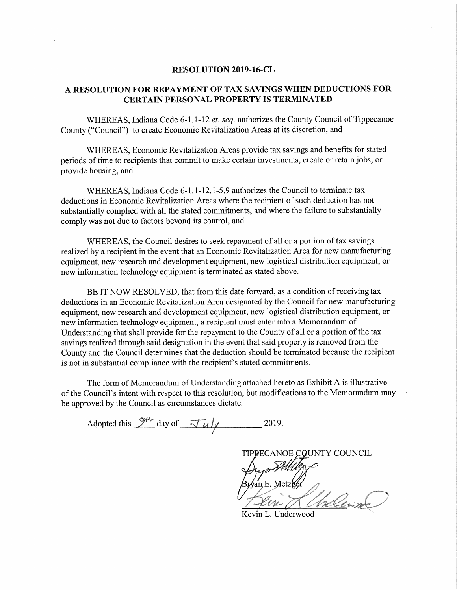## RESOLUTION 2019—16-CL

### A RESOLUTION FOR REPAYMENT OF TAX SAVINGS WHEN DEDUCTIONS FOR CERTAIN PERSONAL PROPERTY IS TERMINATED

WHEREAS, Indiana Code 6-1.1-12 et. seq. authorizes the County Council of Tippecanoe County ("Council") to create Economic Revitalization Areas at its discretion, and

WHEREAS, Economic Revitalization Areas provide tax savings and benefits for stated periods of time to recipients that commit to make certain investments, create or retain jobs, or provide housing, and

WHEREAS, Indiana Code 6-1.1-12.1-5.9 authorizes the Council to terminate tax deductions in Economic Revitalization Areas where the recipient of such deduction has not substantially complied with all the stated commitments, and where the failure to substantially comply was not due to factors beyond its control, and

WHEREAS, the Council desires to seek repayment of all or <sup>a</sup> portion of tax savings realized by <sup>a</sup> recipient in the event that an Economic Revitalization Area for new manufacturing equipment, new research and development equipment, new logistical distribution equipment, or new information technology equipment is terminated as stated above.

BE IT NOW RESOLVED, that from this date forward, as a condition of receiving tax deductions in an Economic Revitalization Area designated by the Council for new manufacturing equipment, new research and development equipment, new logistical distribution equipment, or new information technology equipment, <sup>a</sup> recipient must enter into <sup>a</sup> Memorandum of Understanding that shall provide for the repayment to the County of all or a portion of the tax savings realized through said designation in the event that said property is removed from the County and the Council determines that the deduction should be terminated because the recipient is not in substantial compliance with the recipient's stated commitments.

The form of Memorandum of Understanding attached hereto as Exhibit A is illustrative of the Council's intent with respect to this resolution, but modifications to the Memorandum may be approved by the Council as circumstances dictate.

Adopted this  $9^{\frac{1}{4}}$  day of  $\frac{1}{4}$   $\frac{1}{4}$  2019.

TIPPECANOE COUNTY COUNCIL an E. Metzk k <sup>a</sup>" 5' i  $\mu$   $\mu$ a" " <sup>a</sup> ( ' I " W ' $\mathcal{U} \cup \mathcal{U}$ was!" .qv 14%,, "figment  $\sim$  r v p  $\sim$   $\sim$ 

Kevin L.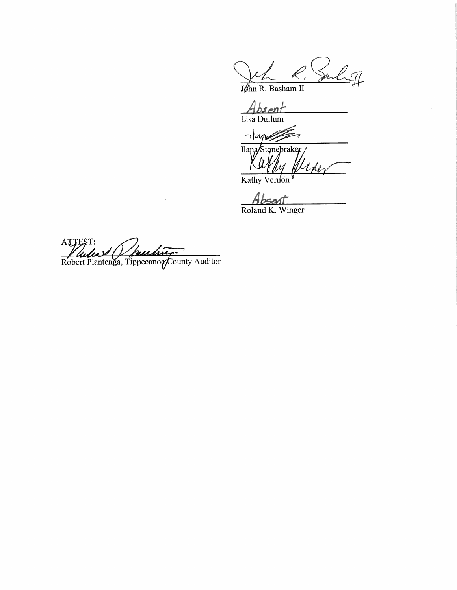John R. Barby

 $\frac{\textit{Absent}}{\text{Lisa Dullum}}$ 

 $-1$ apos

Tlana/Stonebraker

Absent<br>Roland K. Winger

Robert Plantenga, Tippecanog/Cou anoewot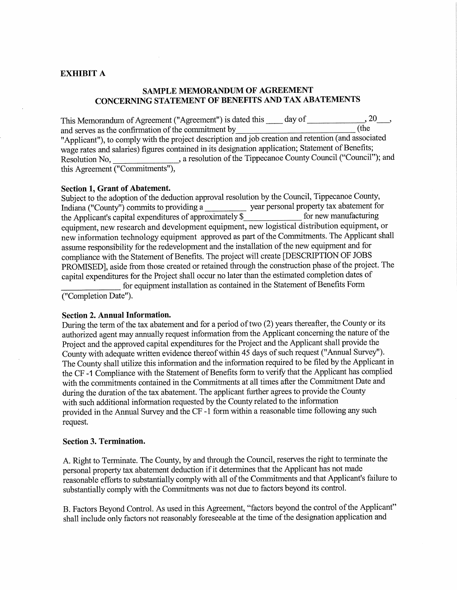## EXHIBIT A

## SAMPLE MEMORANDUM OF AGREEMENT CONCERNING STATEMENT OF BENEFITS AND TAX ABATEMENTS

This Memorandum of Agreement ("Agreement") is dated this  $\_\_\_$  day of  $\_\_\_\_$ , 20.... and serves as the confirmation of the commitment by "Applicant"), to comply with the project description and job creation and retention (and associated wage rates and salaries) figures contained in its designation application; Statement of Benefits; Resolution No, a resolution of the Tippecanoe County Council ("Council"); and this Agreement ("Commitments"),

#### Section 1, Grant of Abatement.

Subject to the adoption of the deduction approva<sup>l</sup> resolution by the Council, Tippecanoe County, Indiana ("County") commits to providing a year personal property tax abatement for the Applicant's capital expenditures of approximately \$\_\_\_\_\_\_\_\_\_\_\_\_\_\_\_\_\_ for new manufacturing equipment, new research and development equipment, new logistical distribution equipment, or new information technology equipment approved as part of the Commitments. The Applicant shall assume responsibility for the redevelopment and the installation of the new equipment and for compliance with the Statement of Benefits. The project will create [DESCRIPTION OF JOBS PROMISED], aside from those created or retained through the construction phase of the project. The capital expenditures for the Project shall occur no later than the estimated completion dates of

for equipment installation as contained in the Statement of Benefits Form ("Completion Date").

#### Section 2. Annual Information.

During the term of the tax abatement and for a period of two (2) years thereafter, the County or its authorized agent may annually request information from the Applicant concerning the nature of the Project and the approved capital expenditures for the Project and the Applicant shall provide the County with adequate written evidence thereof within 45 days of such request ("Annual Survey"). The County shall utilize this information and the information required to be filed by the Applicant in the CF-1 Compliance with the Statement of Benefits form to verify that the Applicant has complied with the commitments contained in the Commitments at all times after the Commitment Date and during the duration of the tax abatement. The applicant further agrees to provide the County with such additional information requested by the County related to the information provided in the Annual Survey and the CF -l form within <sup>a</sup> reasonable time following any such request.

#### Section 3. Termination.

A. Right to Terminate. The County, by and through the Council, reserves the right to terminate the personal property tax abatement deduction if it determines that the Applicant has not made reasonable efforts to substantially comply with all of the Commitments and that Applicant's failure to substantially comply with the Commitments was not due to factors beyond its control.

B. Factors Beyond Control. As used in this Agreement, "factors beyond the control of the Applicant" shall include only factors not reasonably foreseeable at the time of the designation application and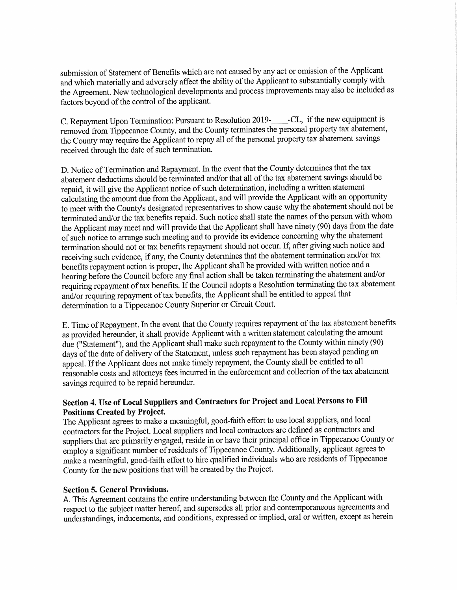submission of Statement of Benefits which are not caused by any act or omission of the Applicant and which materially and adversely affect the ability of the Applicant to substantially comply with the Agreement. New technological developments and process improvements may also be included as factors beyond of the control of the applicant.

C. Repayment Upon Termination: Pursuant to Resolution 2019-<br>-CL, if the new equipment is removed from Tippecanoe County, and the County terminates the persona<sup>l</sup> property tax abatement, the County may require the Applicant to repay all of the personal property tax abatement savings received through the date of such termination.

D. Notice of Termination and Repayment. In the event that the County determines that the tax abatement deductions should be terminated and/or that all of the tax abatement savings should be repaid, it will <sup>g</sup>ive the Applicant notice of such determination, including <sup>a</sup> written statement calculating the amount due from the Applicant, and will provide the Applicant with an opportunity to meet with the County's designated representatives to show cause why the abatement should not be terminated and/or the tax benefits repaid. Such notice shall state the names ofthe person with whom the Applicant may meet and will provide that the Applicant shall have ninety (90) days from the date of such notice to arrange such meeting and to provide its evidence concerning why the abatement termination should not or tax benefits repaymen<sup>t</sup> should not occur. If, after <sup>g</sup>iving such notice and receiving such evidence, if any, the County determines that the abatement termination and/or tax benefits repaymen<sup>t</sup> action is proper, the Applicant shall be provided with written notice and <sup>a</sup> hearing before the Council before any final action shall be taken terminating the abatement and/or requiring repayment of tax benefits. If the Council adopts a Resolution terminating the tax abatement and/or requiring repayment of tax benefits, the Applicant shall be entitled to appeal that determination to <sup>a</sup> Tippecanoe County Superior or Circuit Court.

E. Time of Repayment. In the event that the County requires repayment of the tax abatement benefits as provided hereunder, it shall provide Applicant with <sup>a</sup> written statement calculating the amount due ("Statement"), and the Applicant shall make such repayment to the County within ninety (90) days of the date of delivery of the Statement, unless such repayment has been stayed pending an appeal. If the Applicant does not make timely repayment, the County shall be entitled to all reasonable costs and attorneys fees incurred in the enforcement and collection ofthe tax abatement savings required to be repaid hereunder.

# Section 4. Use of Local Suppliers and Contractors for Project and Local Persons to Fill Positions Created by Project.

The Applicant agrees to make a meaningful, good-faith effort to use local suppliers, and local contractors for the Project. Local suppliers and local contractors are defined as contractors and suppliers that are primarily engaged, reside in or have their principal office in Tippecanoe County or employ a significant number of residents of Tippecanoe County. Additionally, applicant agrees to make a meaningful, good-faith effort to hire qualified individuals who are residents of Tippecanoe County for the new positions that will be created by the Project.

## Section 5. General Provisions.

A. This Agreement contains the entire understanding between the County and the Applicant with respect to the subject matter hereof, and supersedes all prior and contemporaneous agreements and understandings, inducements, and conditions, expressed or implied, oral or written, except as herein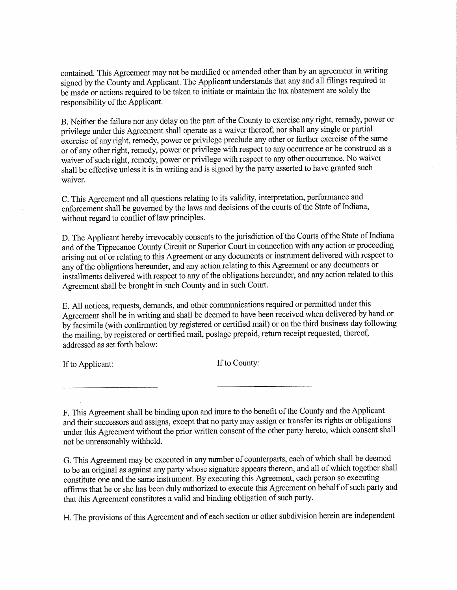contained. This Agreement may not be modified or amended other than by an agreemen<sup>t</sup> in writing signed by the County and Applicant. The Applicant understands that any and all filings required to be made or actions required to be taken to initiate or maintain the tax abatement are solely the responsibility of the Applicant.

B. Neither the failure nor any delay on the part of the County to exercise any right, remedy, power or privilege under this Agreement shall operate as <sup>a</sup> waiver thereof; nor shall any single or partial exercise of any right, remedy, power or privilege preclude any other or further exercise ofthe same or of any other right, remedy, power or privilege with respect to any occurrence or be construed as <sup>a</sup> waiver of such right, remedy, power or privilege with respect to any other occurrence. No waiver shall be effective unless it is in writing and is signed by the party asserted to have granted such waiver.

C. This Agreement and all questions relating to its validity, interpretation, performance and enforcement shall be governed by the laws and decisions of the courts of the State of Indiana, without regard to conflict of law principles.

D. The Applicant hereby irrevocably consents to the jurisdiction of the Courts of the State of Indiana and ofthe Tippecanoe County Circuit or Superior Court in connection with any action or proceeding arising out of or relating to this Agreement or any documents or instrument delivered with respect to any of the obligations hereunder, and any action relating to this Agreement or any documents or installments delivered with respect to any ofthe obligations hereunder, and any action related to this Agreement shall be brought in such County and in such Court.

B. All notices, requests, demands, and other communications required or permitted under this Agreement shall be in writing and shall be deemed to have been received when delivered by hand or by facsimile (with confirmation by registered or certified mail) or on the third business day following the mailing, by registered or certified mail, postage prepaid, return receipt requested, thereof, addressed as set forth below:

If to Applicant: If to County:

F. This Agreement shall be binding upon and inure to the benefit of the County and the Applicant and their successors and assigns, except that no party may assign or transfer its rights or obligations under this Agreement without the prior written consent of the other party hereto, which consent shall not be unreasonably withheld.

G. This Agreement may be executed in any number of counterparts, each ofwhich shall be deemed to be an original as against any party whose signature appears thereon, and all ofwhich together shall constitute one and the same instrument. By executing this Agreement, each person so executing affirms that he or she has been duly authorized to execute this Agreement on behalf of such party and that this Agreement constitutes <sup>a</sup> valid and binding obligation of such party.

H. The provisions of this Agreement and of each section or other subdivision herein are independent